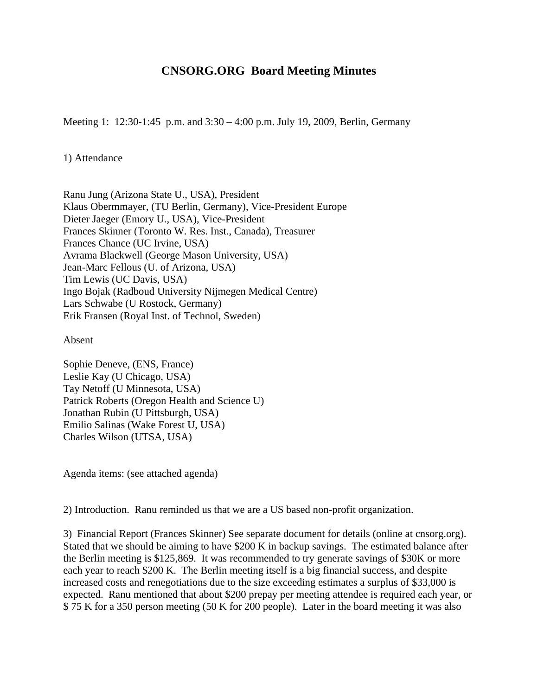## **CNSORG.ORG Board Meeting Minutes**

Meeting 1: 12:30-1:45 p.m. and 3:30 – 4:00 p.m. July 19, 2009, Berlin, Germany

## 1) Attendance

Ranu Jung (Arizona State U., USA), President Klaus Obermmayer, (TU Berlin, Germany), Vice-President Europe Dieter Jaeger (Emory U., USA), Vice-President Frances Skinner (Toronto W. Res. Inst., Canada), Treasurer Frances Chance (UC Irvine, USA) Avrama Blackwell (George Mason University, USA) Jean-Marc Fellous (U. of Arizona, USA) Tim Lewis (UC Davis, USA) Ingo Bojak (Radboud University Nijmegen Medical Centre) Lars Schwabe (U Rostock, Germany) Erik Fransen (Royal Inst. of Technol, Sweden)

Absent

Sophie Deneve, (ENS, France) Leslie Kay (U Chicago, USA) Tay Netoff (U Minnesota, USA) Patrick Roberts (Oregon Health and Science U) Jonathan Rubin (U Pittsburgh, USA) Emilio Salinas (Wake Forest U, USA) Charles Wilson (UTSA, USA)

Agenda items: (see attached agenda)

2) Introduction. Ranu reminded us that we are a US based non-profit organization.

3) Financial Report (Frances Skinner) See separate document for details (online at cnsorg.org). Stated that we should be aiming to have \$200 K in backup savings. The estimated balance after the Berlin meeting is \$125,869. It was recommended to try generate savings of \$30K or more each year to reach \$200 K. The Berlin meeting itself is a big financial success, and despite increased costs and renegotiations due to the size exceeding estimates a surplus of \$33,000 is expected. Ranu mentioned that about \$200 prepay per meeting attendee is required each year, or \$ 75 K for a 350 person meeting (50 K for 200 people). Later in the board meeting it was also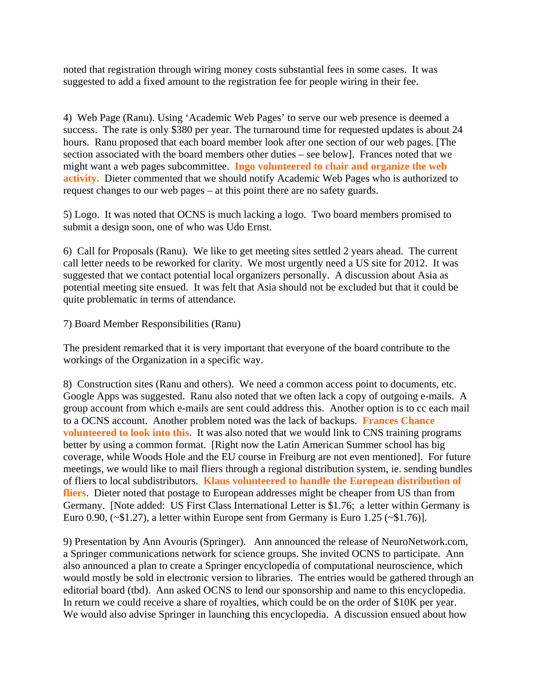noted that registration through wiring money costs substantial fees in some cases. It was suggested to add a fixed amount to the registration fee for people wiring in their fee.

4) Web Page (Ranu). Using 'Academic Web Pages' to serve our web presence is deemed a success. The rate is only \$380 per year. The turnaround time for requested updates is about 24 hours. Ranu proposed that each board member look after one section of our web pages. [The section associated with the board members other duties – see below]. Frances noted that we might want a web pages subcommittee. **Ingo volunteered to chair and organize the web activity.** Dieter commented that we should notify Academic Web Pages who is authorized to request changes to our web pages – at this point there are no safety guards.

5) Logo. It was noted that OCNS is much lacking a logo. Two board members promised to submit a design soon, one of who was Udo Ernst.

6) Call for Proposals (Ranu). We like to get meeting sites settled 2 years ahead. The current call letter needs to be reworked for clarity. We most urgently need a US site for 2012. It was suggested that we contact potential local organizers personally. A discussion about Asia as potential meeting site ensued. It was felt that Asia should not be excluded but that it could be quite problematic in terms of attendance.

## 7) Board Member Responsibilities (Ranu)

The president remarked that it is very important that everyone of the board contribute to the workings of the Organization in a specific way.

8) Construction sites (Ranu and others). We need a common access point to documents, etc. Google Apps was suggested. Ranu also noted that we often lack a copy of outgoing e-mails. A group account from which e-mails are sent could address this. Another option is to cc each mail to a OCNS account. Another problem noted was the lack of backups. **Frances Chance volunteered to look into this.** It was also noted that we would link to CNS training programs better by using a common format. [Right now the Latin American Summer school has big coverage, while Woods Hole and the EU course in Freiburg are not even mentioned]. For future meetings, we would like to mail fliers through a regional distribution system, ie. sending bundles of fliers to local subdistributors. **Klaus volunteered to handle the European distribution of fliers**. Dieter noted that postage to European addresses might be cheaper from US than from Germany. [Note added: US First Class International Letter is \$1.76; a letter within Germany is Euro 0.90,  $(\sim $1.27)$ , a letter within Europe sent from Germany is Euro 1.25  $(\sim $1.76)$ ].

9) Presentation by Ann Avouris (Springer). Ann announced the release of NeuroNetwork.com, a Springer communications network for science groups. She invited OCNS to participate. Ann also announced a plan to create a Springer encyclopedia of computational neuroscience, which would mostly be sold in electronic version to libraries. The entries would be gathered through an editorial board (tbd). Ann asked OCNS to lend our sponsorship and name to this encyclopedia. In return we could receive a share of royalties, which could be on the order of \$10K per year. We would also advise Springer in launching this encyclopedia. A discussion ensued about how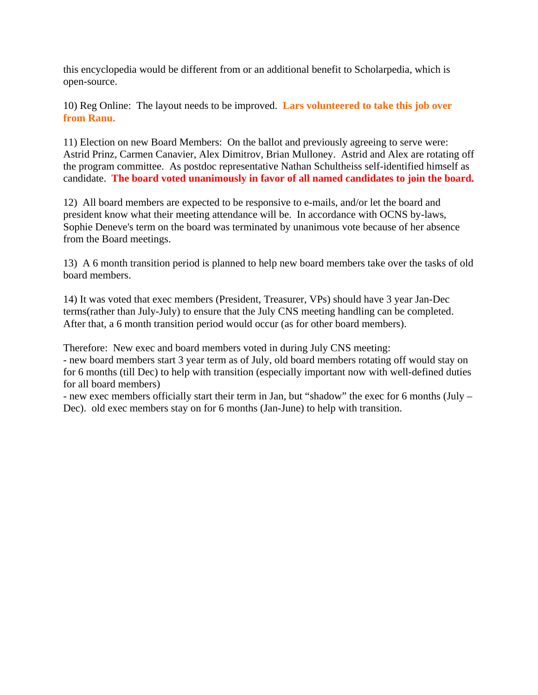this encyclopedia would be different from or an additional benefit to Scholarpedia, which is open-source.

10) Reg Online: The layout needs to be improved. **Lars volunteered to take this job over from Ranu.**

11) Election on new Board Members: On the ballot and previously agreeing to serve were: Astrid Prinz, Carmen Canavier, Alex Dimitrov, Brian Mulloney. Astrid and Alex are rotating off the program committee. As postdoc representative Nathan Schultheiss self-identified himself as candidate. **The board voted unanimously in favor of all named candidates to join the board.** 

12) All board members are expected to be responsive to e-mails, and/or let the board and president know what their meeting attendance will be. In accordance with OCNS by-laws, Sophie Deneve's term on the board was terminated by unanimous vote because of her absence from the Board meetings.

13) A 6 month transition period is planned to help new board members take over the tasks of old board members.

14) It was voted that exec members (President, Treasurer, VPs) should have 3 year Jan-Dec terms(rather than July-July) to ensure that the July CNS meeting handling can be completed. After that, a 6 month transition period would occur (as for other board members).

Therefore: New exec and board members voted in during July CNS meeting:

- new board members start 3 year term as of July, old board members rotating off would stay on for 6 months (till Dec) to help with transition (especially important now with well-defined duties for all board members)

- new exec members officially start their term in Jan, but "shadow" the exec for 6 months (July – Dec). old exec members stay on for 6 months (Jan-June) to help with transition.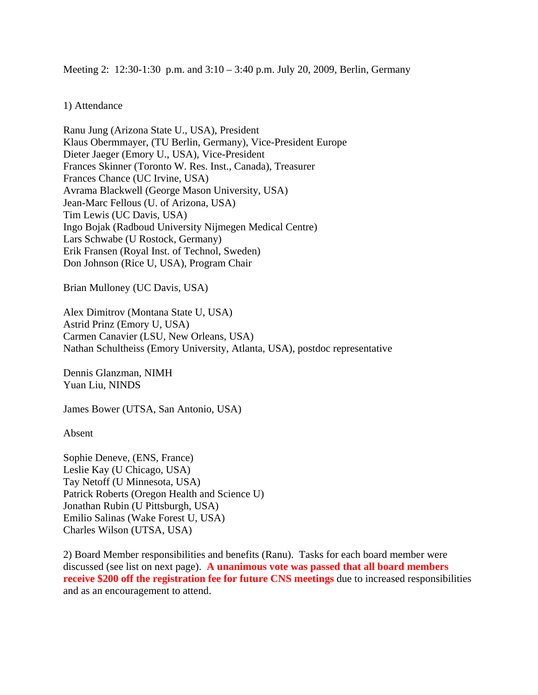Meeting 2: 12:30-1:30 p.m. and 3:10 – 3:40 p.m. July 20, 2009, Berlin, Germany

## 1) Attendance

Ranu Jung (Arizona State U., USA), President Klaus Obermmayer, (TU Berlin, Germany), Vice-President Europe Dieter Jaeger (Emory U., USA), Vice-President Frances Skinner (Toronto W. Res. Inst., Canada), Treasurer Frances Chance (UC Irvine, USA) Avrama Blackwell (George Mason University, USA) Jean-Marc Fellous (U. of Arizona, USA) Tim Lewis (UC Davis, USA) Ingo Bojak (Radboud University Nijmegen Medical Centre) Lars Schwabe (U Rostock, Germany) Erik Fransen (Royal Inst. of Technol, Sweden) Don Johnson (Rice U, USA), Program Chair

Brian Mulloney (UC Davis, USA)

Alex Dimitrov (Montana State U, USA) Astrid Prinz (Emory U, USA) Carmen Canavier (LSU, New Orleans, USA) Nathan Schultheiss (Emory University, Atlanta, USA), postdoc representative

Dennis Glanzman, NIMH Yuan Liu, NINDS

James Bower (UTSA, San Antonio, USA)

Absent

Sophie Deneve, (ENS, France) Leslie Kay (U Chicago, USA) Tay Netoff (U Minnesota, USA) Patrick Roberts (Oregon Health and Science U) Jonathan Rubin (U Pittsburgh, USA) Emilio Salinas (Wake Forest U, USA) Charles Wilson (UTSA, USA)

2) Board Member responsibilities and benefits (Ranu). Tasks for each board member were discussed (see list on next page). **A unanimous vote was passed that all board members receive \$200 off the registration fee for future CNS meetings** due to increased responsibilities and as an encouragement to attend.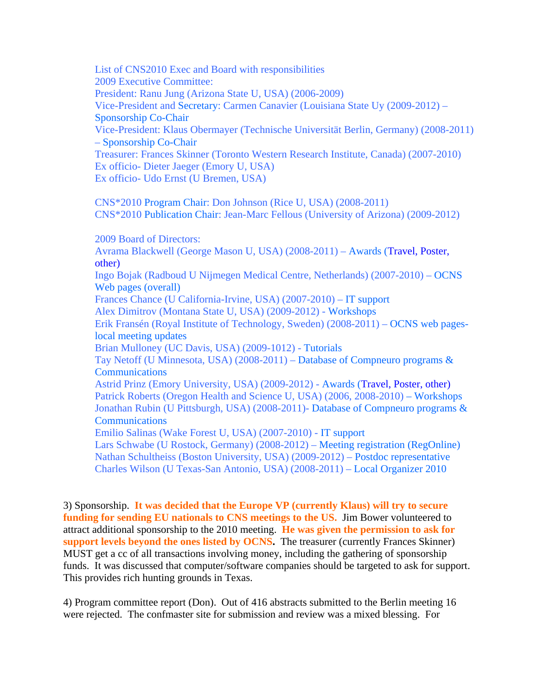List of CNS2010 Exec and Board with responsibilities 2009 Executive Committee: President: Ranu Jung (Arizona State U, USA) (2006-2009) Vice-President and Secretary: Carmen Canavier (Louisiana State Uy (2009-2012) – Sponsorship Co-Chair Vice-President: Klaus Obermayer (Technische Universität Berlin, Germany) (2008-2011) – Sponsorship Co-Chair Treasurer: Frances Skinner (Toronto Western Research Institute, Canada) (2007-2010) Ex officio- Dieter Jaeger (Emory U, USA) Ex officio- Udo Ernst (U Bremen, USA) CNS\*2010 Program Chair: Don Johnson (Rice U, USA) (2008-2011) CNS\*2010 Publication Chair: Jean-Marc Fellous (University of Arizona) (2009-2012) 2009 Board of Directors: Avrama Blackwell (George Mason U, USA) (2008-2011) – Awards (Travel, Poster, other) Ingo Bojak (Radboud U Nijmegen Medical Centre, Netherlands) (2007-2010) – OCNS Web pages (overall) Frances Chance (U California-Irvine, USA) (2007-2010) – IT support Alex Dimitrov (Montana State U, USA) (2009-2012) - Workshops Erik Fransén (Royal Institute of Technology, Sweden) (2008-2011) – OCNS web pageslocal meeting updates Brian Mulloney (UC Davis, USA) (2009-1012) - Tutorials Tay Netoff (U Minnesota, USA) (2008-2011) – Database of Compneuro programs & **Communications** Astrid Prinz (Emory University, USA) (2009-2012) - Awards (Travel, Poster, other) Patrick Roberts (Oregon Health and Science U, USA) (2006, 2008-2010) – Workshops Jonathan Rubin (U Pittsburgh, USA) (2008-2011)- Database of Compneuro programs & **Communications** Emilio Salinas (Wake Forest U, USA) (2007-2010) - IT support

Lars Schwabe (U Rostock, Germany) (2008-2012) – Meeting registration (RegOnline) Nathan Schultheiss (Boston University, USA) (2009-2012) – Postdoc representative Charles Wilson (U Texas-San Antonio, USA) (2008-2011) – Local Organizer 2010

3) Sponsorship. **It was decided that the Europe VP (currently Klaus) will try to secure funding for sending EU nationals to CNS meetings to the US.** Jim Bower volunteered to attract additional sponsorship to the 2010 meeting. **He was given the permission to ask for support levels beyond the ones listed by OCNS.** The treasurer (currently Frances Skinner) MUST get a cc of all transactions involving money, including the gathering of sponsorship funds. It was discussed that computer/software companies should be targeted to ask for support. This provides rich hunting grounds in Texas.

4) Program committee report (Don). Out of 416 abstracts submitted to the Berlin meeting 16 were rejected. The confmaster site for submission and review was a mixed blessing. For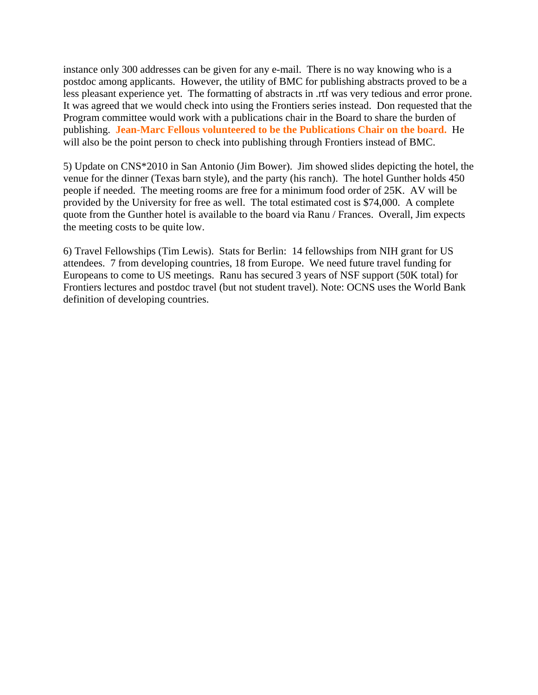instance only 300 addresses can be given for any e-mail. There is no way knowing who is a postdoc among applicants. However, the utility of BMC for publishing abstracts proved to be a less pleasant experience yet. The formatting of abstracts in .rtf was very tedious and error prone. It was agreed that we would check into using the Frontiers series instead. Don requested that the Program committee would work with a publications chair in the Board to share the burden of publishing. **Jean-Marc Fellous volunteered to be the Publications Chair on the board.** He will also be the point person to check into publishing through Frontiers instead of BMC.

5) Update on CNS\*2010 in San Antonio (Jim Bower). Jim showed slides depicting the hotel, the venue for the dinner (Texas barn style), and the party (his ranch). The hotel Gunther holds 450 people if needed. The meeting rooms are free for a minimum food order of 25K. AV will be provided by the University for free as well. The total estimated cost is \$74,000. A complete quote from the Gunther hotel is available to the board via Ranu / Frances. Overall, Jim expects the meeting costs to be quite low.

6) Travel Fellowships (Tim Lewis). Stats for Berlin: 14 fellowships from NIH grant for US attendees. 7 from developing countries, 18 from Europe. We need future travel funding for Europeans to come to US meetings. Ranu has secured 3 years of NSF support (50K total) for Frontiers lectures and postdoc travel (but not student travel). Note: OCNS uses the World Bank definition of developing countries.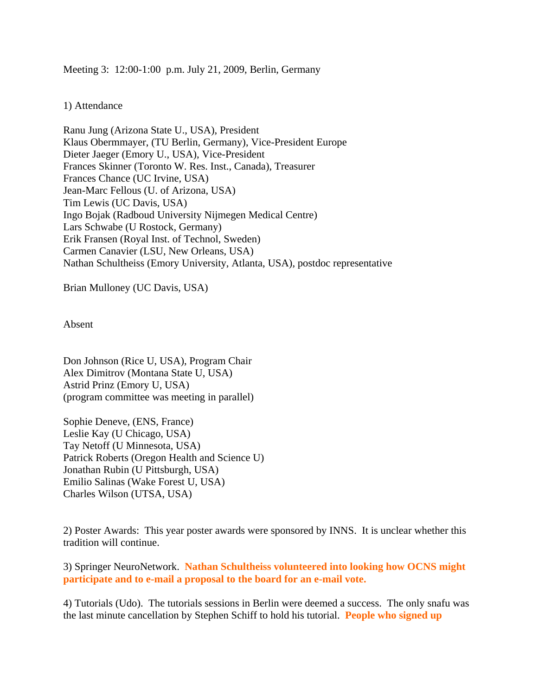Meeting 3: 12:00-1:00 p.m. July 21, 2009, Berlin, Germany

1) Attendance

Ranu Jung (Arizona State U., USA), President Klaus Obermmayer, (TU Berlin, Germany), Vice-President Europe Dieter Jaeger (Emory U., USA), Vice-President Frances Skinner (Toronto W. Res. Inst., Canada), Treasurer Frances Chance (UC Irvine, USA) Jean-Marc Fellous (U. of Arizona, USA) Tim Lewis (UC Davis, USA) Ingo Bojak (Radboud University Nijmegen Medical Centre) Lars Schwabe (U Rostock, Germany) Erik Fransen (Royal Inst. of Technol, Sweden) Carmen Canavier (LSU, New Orleans, USA) Nathan Schultheiss (Emory University, Atlanta, USA), postdoc representative

Brian Mulloney (UC Davis, USA)

Absent

Don Johnson (Rice U, USA), Program Chair Alex Dimitrov (Montana State U, USA) Astrid Prinz (Emory U, USA) (program committee was meeting in parallel)

Sophie Deneve, (ENS, France) Leslie Kay (U Chicago, USA) Tay Netoff (U Minnesota, USA) Patrick Roberts (Oregon Health and Science U) Jonathan Rubin (U Pittsburgh, USA) Emilio Salinas (Wake Forest U, USA) Charles Wilson (UTSA, USA)

2) Poster Awards: This year poster awards were sponsored by INNS. It is unclear whether this tradition will continue.

3) Springer NeuroNetwork. **Nathan Schultheiss volunteered into looking how OCNS might participate and to e-mail a proposal to the board for an e-mail vote.**

4) Tutorials (Udo). The tutorials sessions in Berlin were deemed a success. The only snafu was the last minute cancellation by Stephen Schiff to hold his tutorial. **People who signed up**